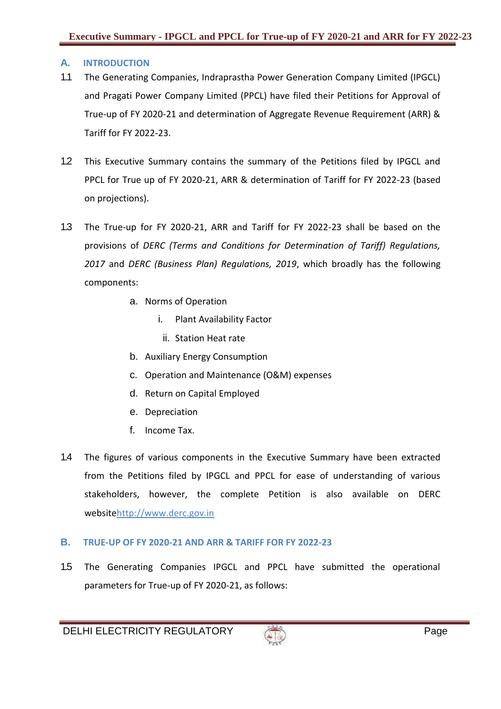## **A. INTRODUCTION**

- 1.1 The Generating Companies, Indraprastha Power Generation Company Limited (IPGCL) and Pragati Power Company Limited (PPCL) have filed their Petitions for Approval of True-up of FY 2020-21 and determination of Aggregate Revenue Requirement (ARR) & Tariff for FY 2022-23.
- 1.2 This Executive Summary contains the summary of the Petitions filed by IPGCL and PPCL for True up of FY 2020-21, ARR & determination of Tariff for FY 2022-23 (based on projections).
- 1.3 The True-up for FY 2020-21, ARR and Tariff for FY 2022-23 shall be based on the provisions of *DERC (Terms and Conditions for Determination of Tariff) Regulations, 2017* and *DERC (Business Plan) Regulations, 2019*, which broadly has the following components:
	- a. Norms of Operation
		- i. Plant Availability Factor
		- ii. Station Heat rate
	- b. Auxiliary Energy Consumption
	- c. Operation and Maintenance (O&M) expenses
	- d. Return on Capital Employed
	- e. Depreciation
	- f. Income Tax.
- 1.4 The figures of various components in the Executive Summary have been extracted from the Petitions filed by IPGCL and PPCL for ease of understanding of various stakeholders, however, the complete Petition is also available on DERC websit[ehttp://www.derc.gov.in](http://www.derc.gov.in/)

## **B. TRUE-UP OF FY 2020-21 AND ARR & TARIFF FOR FY 2022-23**

1.5 The Generating Companies IPGCL and PPCL have submitted the operational parameters for True-up of FY 2020-21, as follows:

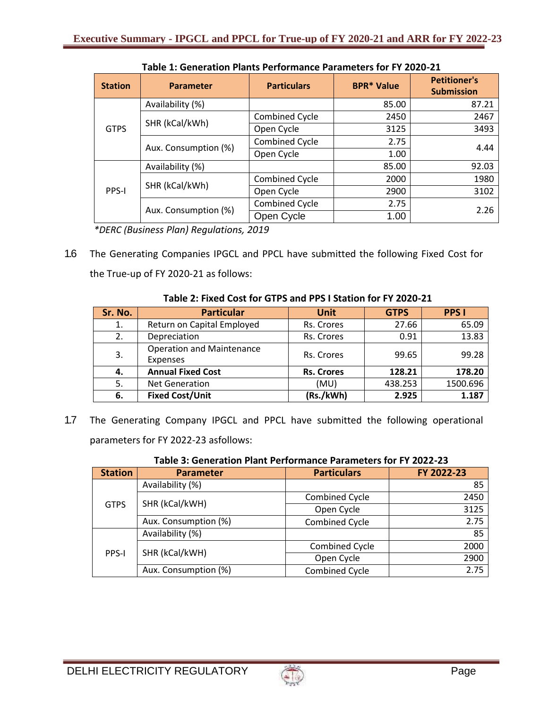| <b>Station</b> | <b>Parameter</b>     | <b>Particulars</b>    | <b>BPR* Value</b> | <b>Petitioner's</b><br><b>Submission</b> |
|----------------|----------------------|-----------------------|-------------------|------------------------------------------|
| <b>GTPS</b>    | Availability (%)     |                       | 85.00             | 87.21                                    |
|                | SHR (kCal/kWh)       | <b>Combined Cycle</b> | 2450              | 2467                                     |
|                |                      | Open Cycle            | 3125              | 3493                                     |
|                | Aux. Consumption (%) | <b>Combined Cycle</b> | 2.75              | 4.44                                     |
|                |                      | Open Cycle            | 1.00              |                                          |
| PPS-I          | Availability (%)     |                       | 85.00             | 92.03                                    |
|                | SHR (kCal/kWh)       | Combined Cycle        | 2000              | 1980                                     |
|                |                      | Open Cycle            | 2900              | 3102                                     |
|                | Aux. Consumption (%) | <b>Combined Cycle</b> | 2.75              | 2.26                                     |
|                |                      | Open Cycle            | 1.00              |                                          |

**Table 1: Generation Plants Performance Parameters for FY 2020-21**

*\*DERC (Business Plan) Regulations, 2019*

1.6 The Generating Companies IPGCL and PPCL have submitted the following Fixed Cost for the True-up of FY 2020-21 as follows:

| Sr. No. | <b>Particular</b>                                   | <b>Unit</b>       | <b>GTPS</b> | <b>PPS I</b> |
|---------|-----------------------------------------------------|-------------------|-------------|--------------|
| 1.      | Return on Capital Employed                          | Rs. Crores        | 27.66       | 65.09        |
| 2.      | Depreciation                                        | Rs. Crores        | 0.91        | 13.83        |
| 3.      | <b>Operation and Maintenance</b><br><b>Expenses</b> | Rs. Crores        | 99.65       | 99.28        |
| 4.      | <b>Annual Fixed Cost</b>                            | <b>Rs. Crores</b> | 128.21      | 178.20       |
| 5.      | <b>Net Generation</b>                               | (MU)              | 438.253     | 1500.696     |
| 6.      | <b>Fixed Cost/Unit</b>                              | (Rs./kWh)         | 2.925       | 1.187        |

## **Table 2: Fixed Cost for GTPS and PPS I Station for FY 2020-21**

1.7 The Generating Company IPGCL and PPCL have submitted the following operational parameters for FY 2022-23 asfollows:

| i apic 3. Geliei auvil Fialit Felivi Malite Falametei S IVI Fr ZUZZ-Z3 |                      |                       |            |  |
|------------------------------------------------------------------------|----------------------|-----------------------|------------|--|
| <b>Station</b>                                                         | <b>Parameter</b>     | <b>Particulars</b>    | FY 2022-23 |  |
| <b>GTPS</b>                                                            | Availability (%)     |                       | 85         |  |
|                                                                        |                      | <b>Combined Cycle</b> | 2450       |  |
|                                                                        | SHR (kCal/kWH)       | Open Cycle            | 3125       |  |
|                                                                        | Aux. Consumption (%) | <b>Combined Cycle</b> | 2.75       |  |
| <b>PPS-I</b>                                                           | Availability (%)     |                       | 85         |  |
|                                                                        | SHR (kCal/kWH)       | <b>Combined Cycle</b> | 2000       |  |
|                                                                        |                      | Open Cycle            | 2900       |  |
|                                                                        | Aux. Consumption (%) | <b>Combined Cycle</b> | 2.75       |  |

| Table 3: Generation Plant Performance Parameters for FY 2022-23 |  |
|-----------------------------------------------------------------|--|
|-----------------------------------------------------------------|--|